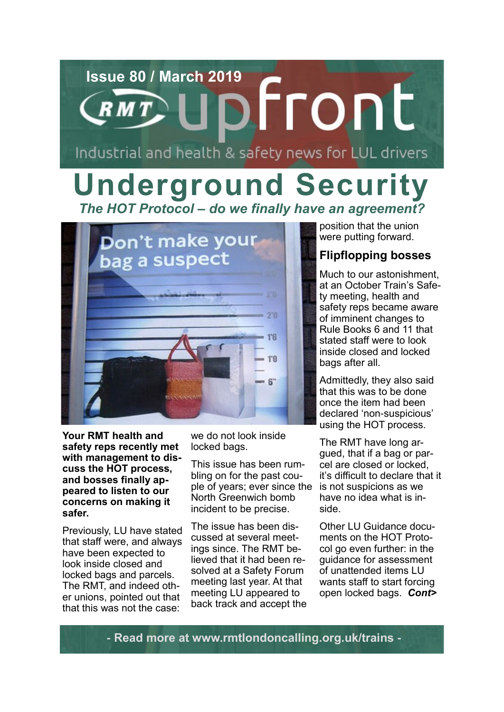# **Issue 80 / March 2019** Industrial and health & safety news for LUL drivers

### **Underground Security** *The HOT Protocol – do we finally have an agreement?*



**Your RMT health and safety reps recently met with management to discuss the HOT process, and bosses finally appeared to listen to our concerns on making it safer.**

Previously, LU have stated that staff were, and always have been expected to look inside closed and locked bags and parcels. The RMT, and indeed other unions, pointed out that that this was not the case:

we do not look inside locked bags.

This issue has been rumbling on for the past couple of years; ever since the North Greenwich bomb incident to be precise.

The issue has been discussed at several meetings since. The RMT believed that it had been resolved at a Safety Forum meeting last year. At that meeting LU appeared to back track and accept the position that the union were putting forward.

### **Flipflopping bosses**

Much to our astonishment, at an October Train's Safety meeting, health and safety reps became aware of imminent changes to Rule Books 6 and 11 that stated staff were to look inside closed and locked bags after all.

Admittedly, they also said that this was to be done once the item had been declared 'non-suspicious' using the HOT process.

The RMT have long argued, that if a bag or parcel are closed or locked, it's difficult to declare that it is not suspicions as we have no idea what is inside.

Other LU Guidance documents on the HOT Protocol go even further: in the guidance for assessment of unattended items LU wants staff to start forcing open locked bags. *Cont>*

**- Read more at www.rmtlondoncalling.org.uk/trains -**